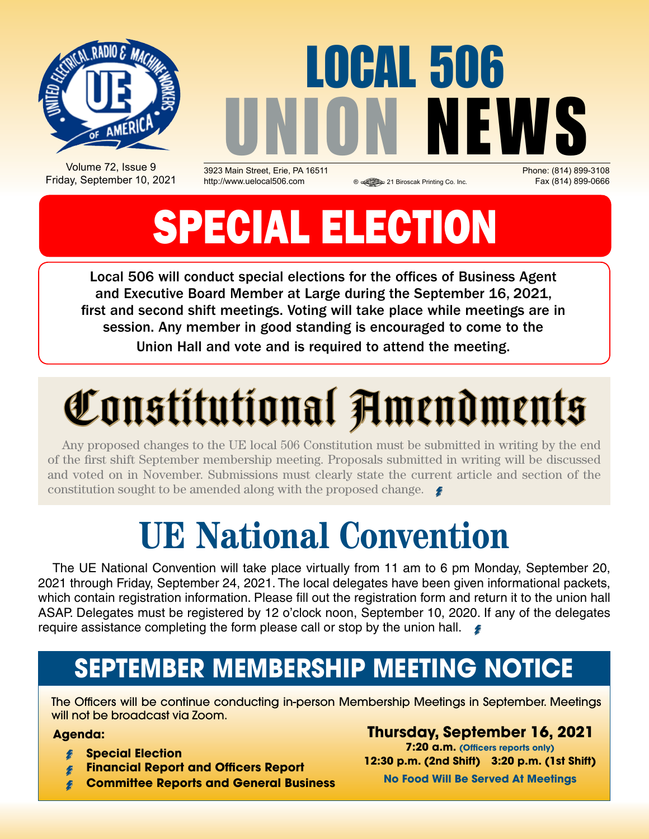

Volume 72, Issue 9 Friday, September 10, 2021

UNION NEWS 3923 Main Street, Erie, PA 16511 Phone: (814) 899-3108 http://www.uelocal506.com 
<br> **a** a 21 Biroscak Printing Co. Inc. Fax (814) 899-0666

**OCAL 506** 

# SPECIAL ELECTION

Local 506 will conduct special elections for the offices of Business Agent and Executive Board Member at Large during the September 16, 2021, first and second shift meetings. Voting will take place while meetings are in session. Any member in good standing is encouraged to come to the Union Hall and vote and is required to attend the meeting.

# Constitutional Amendments

Any proposed changes to the UE local 506 Constitution must be submitted in writing by the end of the first shift September membership meeting. Proposals submitted in writing will be discussed and voted on in November. Submissions must clearly state the current article and section of the constitution sought to be amended along with the proposed change.

# **UE National Convention**

The UE National Convention will take place virtually from 11 am to 6 pm Monday, September 20, 2021 through Friday, September 24, 2021. The local delegates have been given informational packets, which contain registration information. Please fill out the registration form and return it to the union hall ASAP. Delegates must be registered by 12 o'clock noon, September 10, 2020. If any of the delegates require assistance completing the form please call or stop by the union hall.  $\blacktriangleright$ 

### **SEPTEMBER Membership Meeting Notice**

The Officers will be continue conducting in-person Membership Meetings in September. Meetings will not be broadcast via Zoom.

#### **Agenda:**

- **Special Election**
- **Financial Report and Officers Report**
- **Committee Reports and General Business**

**Thursday, September 16, 2021 7:20 a.m. (Officers reports only) 12:30 p.m. (2nd Shift) 3:20 p.m. (1st Shift) No Food Will Be Served At Meetings**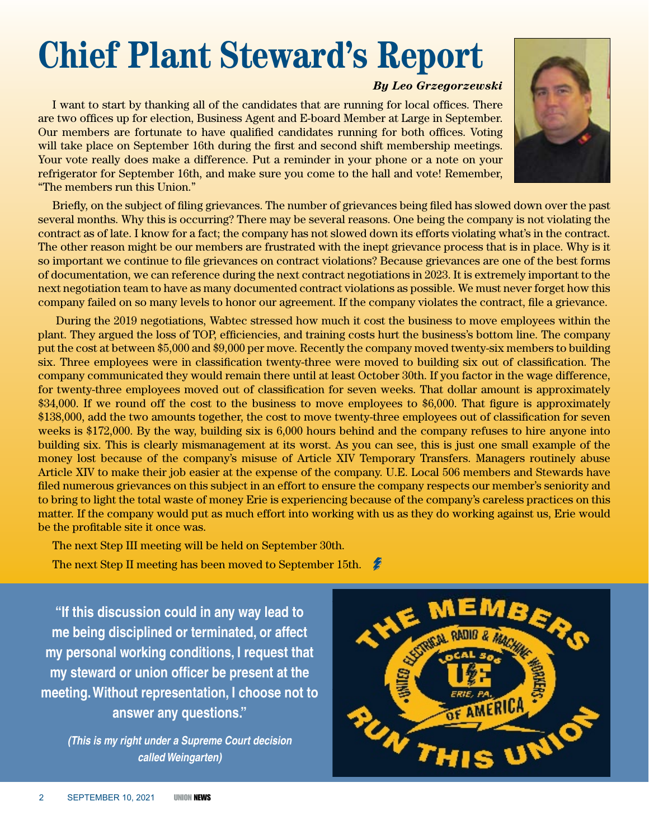## **Chief Plant Steward's Report**

#### *By Leo Grzegorzewski*

I want to start by thanking all of the candidates that are running for local offices. There are two offices up for election, Business Agent and E-board Member at Large in September. Our members are fortunate to have qualified candidates running for both offices. Voting will take place on September 16th during the first and second shift membership meetings. Your vote really does make a difference. Put a reminder in your phone or a note on your refrigerator for September 16th, and make sure you come to the hall and vote! Remember, "The members run this Union."

Briefly, on the subject of filing grievances. The number of grievances being filed has slowed down over the past several months. Why this is occurring? There may be several reasons. One being the company is not violating the contract as of late. I know for a fact; the company has not slowed down its efforts violating what's in the contract. The other reason might be our members are frustrated with the inept grievance process that is in place. Why is it so important we continue to file grievances on contract violations? Because grievances are one of the best forms of documentation, we can reference during the next contract negotiations in 2023. It is extremely important to the next negotiation team to have as many documented contract violations as possible. We must never forget how this company failed on so many levels to honor our agreement. If the company violates the contract, file a grievance.

 During the 2019 negotiations, Wabtec stressed how much it cost the business to move employees within the plant. They argued the loss of TOP, efficiencies, and training costs hurt the business's bottom line. The company put the cost at between \$5,000 and \$9,000 per move. Recently the company moved twenty-six members to building six. Three employees were in classification twenty-three were moved to building six out of classification. The company communicated they would remain there until at least October 30th. If you factor in the wage difference, for twenty-three employees moved out of classification for seven weeks. That dollar amount is approximately \$34,000. If we round off the cost to the business to move employees to \$6,000. That figure is approximately \$138,000, add the two amounts together, the cost to move twenty-three employees out of classification for seven weeks is \$172,000. By the way, building six is 6,000 hours behind and the company refuses to hire anyone into building six. This is clearly mismanagement at its worst. As you can see, this is just one small example of the money lost because of the company's misuse of Article XIV Temporary Transfers. Managers routinely abuse Article XIV to make their job easier at the expense of the company. U.E. Local 506 members and Stewards have filed numerous grievances on this subject in an effort to ensure the company respects our member's seniority and to bring to light the total waste of money Erie is experiencing because of the company's careless practices on this matter. If the company would put as much effort into working with us as they do working against us, Erie would be the profitable site it once was.

The next Step III meeting will be held on September 30th.

The next Step II meeting has been moved to September 15th. 鬠

**"If this discussion could in any way lead to me being disciplined or terminated, or affect my personal working conditions, I request that my steward or union officer be present at the meeting. Without representation, I choose not to answer any questions."**

*(This is my right under a Supreme Court decision called Weingarten)*



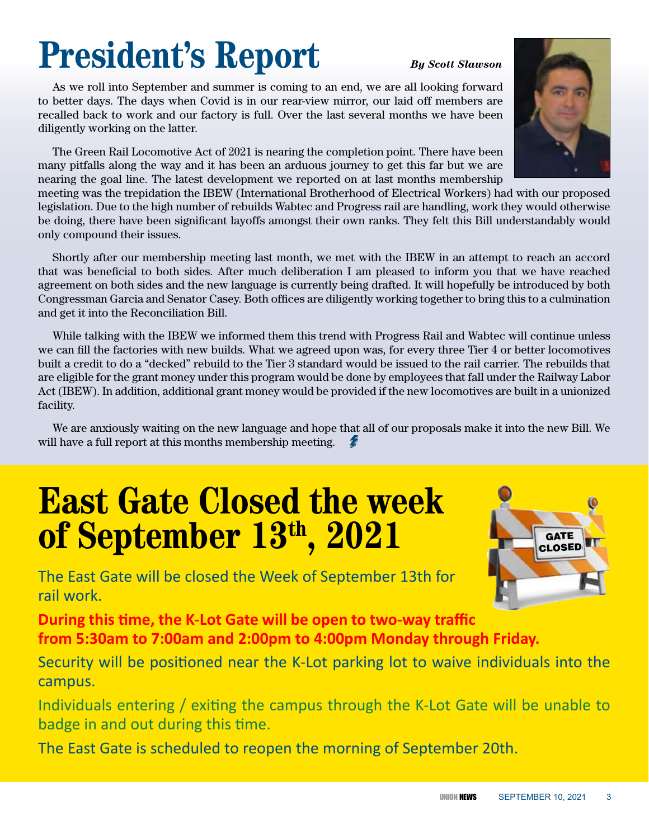## **President's Report** *By Scott Slawson*

As we roll into September and summer is coming to an end, we are all looking forward to better days. The days when Covid is in our rear-view mirror, our laid off members are recalled back to work and our factory is full. Over the last several months we have been diligently working on the latter.

The Green Rail Locomotive Act of 2021 is nearing the completion point. There have been many pitfalls along the way and it has been an arduous journey to get this far but we are nearing the goal line. The latest development we reported on at last months membership

meeting was the trepidation the IBEW (International Brotherhood of Electrical Workers) had with our proposed legislation. Due to the high number of rebuilds Wabtec and Progress rail are handling, work they would otherwise be doing, there have been significant layoffs amongst their own ranks. They felt this Bill understandably would only compound their issues.

Shortly after our membership meeting last month, we met with the IBEW in an attempt to reach an accord that was beneficial to both sides. After much deliberation I am pleased to inform you that we have reached agreement on both sides and the new language is currently being drafted. It will hopefully be introduced by both Congressman Garcia and Senator Casey. Both offices are diligently working together to bring this to a culmination and get it into the Reconciliation Bill.

While talking with the IBEW we informed them this trend with Progress Rail and Wabtec will continue unless we can fill the factories with new builds. What we agreed upon was, for every three Tier 4 or better locomotives built a credit to do a "decked" rebuild to the Tier 3 standard would be issued to the rail carrier. The rebuilds that are eligible for the grant money under this program would be done by employees that fall under the Railway Labor Act (IBEW). In addition, additional grant money would be provided if the new locomotives are built in a unionized facility.

We are anxiously waiting on the new language and hope that all of our proposals make it into the new Bill. We will have a full report at this months membership meeting.

### **East Gate Closed the week of September 13th, 2021**



The East Gate will be closed the Week of September 13th for rail work.

**During this time, the K-Lot Gate will be open to two-way traffic from 5:30am to 7:00am and 2:00pm to 4:00pm Monday through Friday.**

Security will be positioned near the K-Lot parking lot to waive individuals into the campus.

Individuals entering / exiting the campus through the K-Lot Gate will be unable to badge in and out during this time.

The East Gate is scheduled to reopen the morning of September 20th.